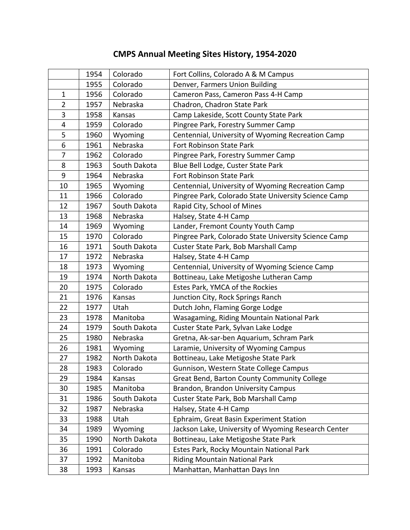## 1954 | Colorado | Fort Collins, Colorado A & M Campus 1955 Colorado | Denver, Farmers Union Building 1 | 1956 | Colorado | Cameron Pass, Cameron Pass 4-H Camp 2 | 1957 | Nebraska | Chadron, Chadron State Park 3 | 1958 | Kansas | Camp Lakeside, Scott County State Park 4 | 1959 | Colorado | Pingree Park, Forestry Summer Camp 5 1960 Wyoming Centennial, University of Wyoming Recreation Camp 6 | 1961 | Nebraska | Fort Robinson State Park 7 | 1962 | Colorado | Pingree Park, Forestry Summer Camp 8 | 1963 | South Dakota | Blue Bell Lodge, Custer State Park 9 | 1964 | Nebraska | Fort Robinson State Park 10 1965 Wyoming Centennial, University of Wyoming Recreation Camp 11 1966 Colorado Pingree Park, Colorado State University Science Camp 12 | 1967 | South Dakota | Rapid City, School of Mines 13 | 1968 | Nebraska | Halsey, State 4-H Camp 14 | 1969 | Wyoming | Lander, Fremont County Youth Camp 15 1970 Colorado Pingree Park, Colorado State University Science Camp 16 | 1971 | South Dakota | Custer State Park, Bob Marshall Camp 17 | 1972 | Nebraska | Halsey, State 4-H Camp 18 1973 Wyoming Centennial, University of Wyoming Science Camp 19 | 1974 | North Dakota | Bottineau, Lake Metigoshe Lutheran Camp 20 | 1975 | Colorado | Estes Park, YMCA of the Rockies 21 | 1976 | Kansas | Junction City, Rock Springs Ranch 22 | 1977 | Utah | Dutch John, Flaming Gorge Lodge 23 1978 Manitoba Wasagaming, Riding Mountain National Park 24 | 1979 | South Dakota | Custer State Park, Sylvan Lake Lodge 25 1980 Nebraska Gretna, Ak-sar-ben Aquarium, Schram Park 26 | 1981 | Wyoming | Laramie, University of Wyoming Campus 27 | 1982 | North Dakota | Bottineau, Lake Metigoshe State Park 28 | 1983 | Colorado | Gunnison, Western State College Campus 29 | 1984 | Kansas | Great Bend, Barton County Community College 30 1985 Manitoba Brandon, Brandon University Campus 31 | 1986 | South Dakota | Custer State Park, Bob Marshall Camp 32 | 1987 | Nebraska | Halsey, State 4-H Camp 33 | 1988 | Utah | Ephraim, Great Basin Experiment Station 34 | 1989 | Wyoming | Jackson Lake, University of Wyoming Research Center 35 | 1990 | North Dakota | Bottineau, Lake Metigoshe State Park 36 1991 Colorado Estes Park, Rocky Mountain National Park 37 | 1992 | Manitoba | Riding Mountain National Park 38 | 1993 | Kansas | Manhattan, Manhattan Days Inn

## **CMPS Annual Meeting Sites History, 1954-2020**